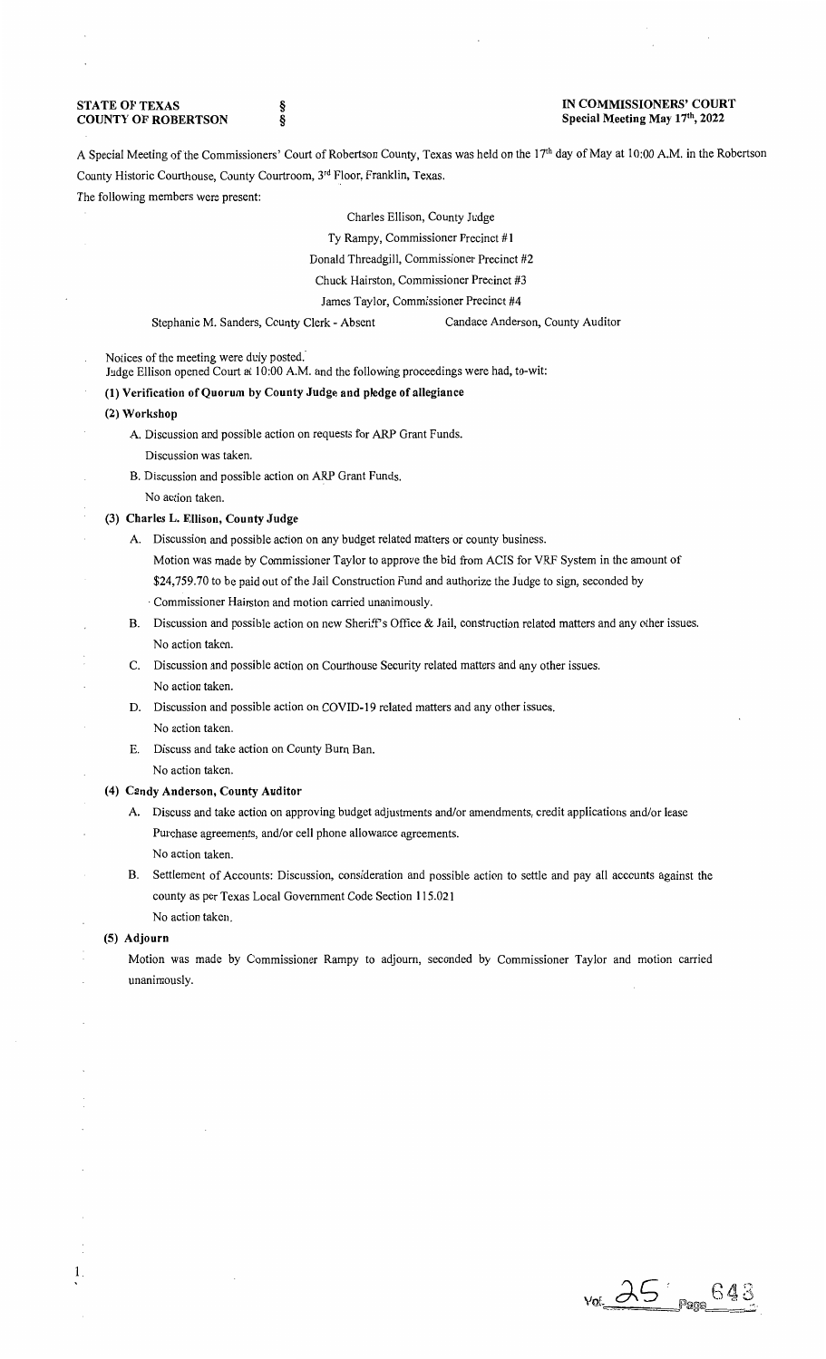**STATE OF TEXAS COUNTY OF ROBERTSON** 

§ §

### **IN COMMISSIONERS' COURT Special Meeting May 17<sup>1</sup> \ 2022**

A Special Meeting of the Commissioners' Court of Robertson County, Texas was held on the 17<sup>th</sup> day of May at 10:00 A.M. in the Robertson County Historic Courthouse, County Courtroom, 3rd floor, Franklin, Texas.

The following members were present:

Charles Ellison, County Judge

Ty Rampy, Commissioner Precinct #1

Donald Threadgill, Commissioner Precinct #2

Chuck Hairston, Commissioner Precinct #3

James Taylor, Commissioner Precinct #4

Stephanie M. Sanders, County Clerk - Absent Candace Anderson, County Auditor

Notices of the meeting were duly posted.

Judge Ellison opened Court at 10:00 A.M. and the following proceedings were had, to-wit:

# **(I) Verification of Quorum by County Judge and pledge of allegiance**

### **(2) Workshop**

- A. Discussion and possible action on requests for ARP Grant Funds. Discussion was taken.
- B. Discussion and possible action on ARP Grant Funds. No action taken.

## (3) **Charles L. Ellison, County Judge**

- A. Discussion and possible action on any budget related matters or county business. Motion was made by Commissioner Taylor to approve the bid from ACIS for VRF System in the amount of \$24,759.70 to be paid out of the Jail Construction Fund and authorize the Judge to sign, seconded by Commissioner Hairston and motion carried unanimously.
- B. Discussion and possible action on new Sheriff's Office & Jail, construction related matters and any other issues. No action taken.
- C. Discussion and possible action on Courthouse Security related matters and any other issues. No action taken.
- D. Discussion and possible action on COVID-19 related matters and any other issues. No action taken.
- E. Discuss and take action on County Bum Ban. No action taken.

### **(4) Candy Anderson, County Auditor**

- A. Discuss and take action on approving budget adjustments and/or amendments, credit applications and/or lease Purchase agreements, and/or cell phone allowance agreements. No action taken.
- B. Settlement of Accounts: Discussion, consideration and possible action to settle and pay all accounts against the county as per Texas Local Government Code Section 115.021 No action taken.

### **(5) Adjourn**

1.

Motion was made by Commissioner Rampy to adjourn, seconded by Commissioner Taylor and motion carried unanimously.